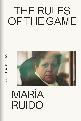# THE RULES OF THE GAME



# MARÍA RUIDO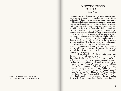# DISPOSSESSIONS SILENCED Imma Prieto

I am unaware if a recollection can be created from an expecting presence, a youthful gaze challenging silence without wishing to. Perhaps we could imagine a young girl, sitting at a table in small, humble dining room. A girl having a snack after getting home from school, before doing her chores. A girl who observes in silence, who does not speak too much to avoid bothering anyone. Around her, daily life continues: a woman gives her something to eat, overwhelmed with dinners, lunches and the laundry. The woman could be her mother, or another mother, especially if her mother is working in one of the factories on the limits of the industrial area. This girl has been raised amidst other people's conversa tions, aware of how expensive it is to live and the harshness of working conditions. Over the years, that girl could be educated in other places and spaces where the home had come into contention. Her gaze could come to rest on other bodies and languages. Her certainty was to be inhabiting other lives that were different from those that had seen her grow up in everyday domestic spaces.

"The Rules of the Game" is the name of the new work that the artist María Ruido has presented in dialogue with the writer Brigitte Vasallo. This audiovisual installation invites viewers to occupy or inhabit (depending on the previous experience of each individual) a space where we encounter an interchange of memories, referring without qualms to the concept of social class. Just as well, the exhi bition includes various works that María Ruido has created over her career: *La memoria interior* [The Inner Memory] 2002), *Tiempo real* (Real Time, 2003), *Ficciones anfibias*  [Amphibious Fictions] (2005) and *ElectroClass* (2011). The exhibition is complemented by various of the scripts of her films, with a diagram created specifically for this show and

María Ruido, *ElectroClass*, 2011 (video still). Courtesy of the artist and Galería Rosa Santos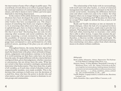the intervention of some of her collages in public space. The overall body of work allows us to ref lect in greater depth on the need and timeliness of continuing to speak about social classes, and what it means to move within a perverse space that leads to class being dispossessed.

In the context of this subtle distinction, multiple modifications have been developed that point to declassing as a way to survive in a world that requires you to censure other bodies that have accompanied you. The dispossession of something that feeds your origins is obligatory if, in returning what others never had, you are obliged to uphold that gain (here we find an initial contradiction), understood as a promise or a threat: "You must live the life that I never had." Declassing does not only involve enjoying other economic and social conditions, but also means assuming a certain normativity that cuts short the possibility of internal movement, blinding and cancelling something that belongs to you. Gesture and language must correspond to a new performativity of a fully political nature, speaking of the place you are called on to occupy.

Throughout history, the norms that have objectified our bodies have undergone transformations, however much the female body is the place where all kinds of disquisitions, judgements and prejudices continue to be bound. It is worth pointing out that these codes have not always been the same. It is quite different with the criteria that have configured them, given that judgement, whether conscious or unconscious, has not always been the same. What has not varied is that these normative ontologies automatically determine what bodies matter. They have done this, in spite of all variables, as if each time a kind of absolute truth, an unquestionable mandate, were made available. This is the decision that continues to hold sway over the decisions of a small few, those who have the power to decide who and what matters, and what canon is meant to dominate in certain groups and communities.

The relationship of the body with its surroundings, with itself and with other bodies, is a form of relational management that implies and is constituted on the basis of certain social norms. Assuming the differences between some and others could even come to be evident. Yet what happens when you no longer belong to something, yet will never belong to something else? What place do these bodies occupy? How might we defend the loss, or just as well the non-site?

Ruido and Vasallo introduce us into an intensely intimate dialogue, where the lack of a recognised territory of one's own, one that is given, could come to provoke loss and pain. Their gestures and words are melded together and find each other, knowing how to incarnate a new entity that is able to allow leeway. A space that assumes the performative displacement that is related to identity and which, therefore, is likewise terribly vulnerable and fragile. We refer, therefore, to encountered and confronted presences, thus constituting a new place, a place from where showing means to be almost without conditions.

#### *Bibliography*

- Butler, Judith; Athanasiou, Athena. *Dispossession: The Performative in the Political*. Cambridge: Polity Press, 2013.
- Haraway, Donna. *A Cyborg Manifesto*. Minneapolis: University of Minnesota Press, 2016. See <https://warwick.ac.uk/fac/ arts/english/currentstudents/undergraduate/modules/ fictionnownarrativemediaandtheoryinthe21stcentury/manifestly\_haraway\_----\_a\_cyborg\_manifesto\_science\_technology and socialist-feminism in the ....pdf>

Vasallo, Brigitte. *Lenguaje inclusivo y exclusión de clase*. Barcelona: Larousse, 2021.

Zafra, Remedios. *Ojos y capital*. Bilbao: Consonni, 2018.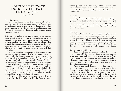# NOTES FOR THE SWAMP [CARTOGRAPHIES BASED ON MARÍA RUIDO]

Brigitte Vasallo

#### Avtar Brah says

The word diaspora refers to a "dispersion from" and thus expresses the notion of a centre, a locus, a "home" from which the dispersion takes place. What distinguishes a diaspora from a journey are the circumstances of the departure. Not just the who, but the when, how and why. A diaspora is a process of History.

Between 1950 and 1975, six million people in the Spanish State abandoned the country life in exchange for urban capitalist modernity, transformed into unskilled labourers, foreigners, illiterates, hicks. Their locus, their home, their origin lacks geographical continuity, a demonym: they don't come from a space but from a concept, from a way of life and a belief system that disappears with their exodus, with their migration.

The historical circumstances of this process are inscribed within the framework of a war waged against the peasantry by the oligarchies and major landowners empowered by the Francoist military regime. Following the fall of the European fascist project at the end of World War II, the regime was left isolated from the international community; but a turn in its economic policy became the cause and consequence of new alliances that favoured its unusual and unexpected survival. The result was the overwhelming influx of liberal capitalism and the extinction of communal forms of social organisation that failed to adapt or were incompatible with the newly imposed system.

Correction: The historical circumstances of this process are inscribed, therefore, within the framework of a war waged against the peasantry by the oligarchies and major landowners empowered by the Francoist military regime and with the support and consent of the international community.

## Footnote

The relationship between the forms of intergenerational violence experienced in mutant families as well as the violence of expulsion, of the transformation of bodies into proletarian bodies and of the imposition of the National Catholic sex/gender system on peasant gender forms have not yet been studied.

# Interlude

[*ElectroClass*] Workers have been co-opted. Their decline as a class was planned: consumers, homeowners. For the first time, their sons and daughters may not have to face the same backbreaking and destructive jobs they did. The working class becomes a place they want to leave. And why would they not want to leave it? Why should they have to try again, after swallowing so many defeats?

## If I were free, I would write

Being almost a minor during the toughest decade of the Franco regime, Delfina Vasallo left Chandrexa de Queixa, 72 km from Xinzo de Limia, to go work as a servant in Paris: a language, a border and 1,410 km away from her village. I don't think she knew how to read or write, skills that she displayed years later in a hesitant, shaky way, and that she perhaps acquired in Paris.

She who eventually became my mother used to say: Madame Charmat taught me to cook and use cutlery. Frédéric Charmat, the boy who grew up under her care, was an artist. I have a painting of his in my house, the only material thing I keep of my mother's, apart from the features of my face, which (they say) are also hers. I was born when my mother thought she was returning to Spain but, due to a lack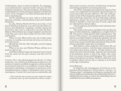of information, chose to settle in Catalonia. To a language, a non-administrative national border and 984 km from Chandrexa de Queixa. This miscalculation, this ignorance, condemned her to continue being an emigrant even after her return. To be a foreigner even when she had made the decision to stop being one.

All this banishment we carry with us is little more than that: a mistake, a miscalculation of just a few hundred kilometres.

In 1963, Dolores Ruido left Xinzo de Limia, 72 km from Chandrexa de Queixa, to go and wrap chocolates in a factory near Hamburg: a language, a border and 913 km from Paris. Her story is collected in the film *The Inner Memory*. María Ruido, her youngest daughter and director of the film, grew up in Xinzo under the care of her sisters and brothers.

When we met, Maria said to me: nós as duas somos o mesmo: ti creciches con nai mais sin terra, eu crecín con terra mais sin nai<sup>1</sup>.

Identifying with the other through a certain longing is a form of home.

What we are not, says Marlene Wayar, defines us as much as what we are.

And Mayte Martín sings: the footprint's been erased from the sand, but the pain remains, and that can't be erased.

Country life is the phantasmagorical alterity of urban modernity, the reified and dehumanised otherness, the construct created to establish an opposite, without an identity beyond its function as an antithesis. Country folk are portrayed as sub-human, as humanity in the process of becoming humanised, without a valid political voice or recognised agency. Country life is portrayed as undesirable, and

1. "We're both the same: you grew up with a mother but without a homeland, I grew up with a homeland but without a mother."

there's only room for a narrative of self-hatred, of rejection and of being grateful for overcoming that state.

The forms of thought and transmission typical of this context are resignified and ridiculed: speech becomes an accent and orality becomes illiteracy. The only valid procedure is that of the bourgeoisie: gender norms, the refinement of the body, of gestures, the way of dressing, walking, aspirations, dreams, the way to fuck and with whom you should or shouldn't, words, the tone of words, topics that are valid and those that are taboo.

(The bourgeoisie, by definition, don't talk about money, sex or death)

The country, the rural, is a problem to be solved by the logics of urban modernity, enlightened, as a higher form of life. The poverty of that specific field is understood as "the poverty of the country", an essential quality of peasant life and not an accident related to industrial capitalism, the lack of access to mechanised means of production and the economic macro-processes that make autonomous forms of subsistence impossible, unless they are marginal.

Both spheres, urban modernity and country life, are constructed as exclusive. And that same construction process makes them *de facto* exclusive. All that which we call culture becomes urban heritage. And ends up in the hands of the dominant classes in and of the urban, who create their own norms of access and belonging. They control the means of production of culture. Workers, when they come to produce culture and not only to consume it, do so based on the logic of alienation.

#### Avtar Brah says

In diasporas, the circumstances of arrival are as important as those of departure. What I refer to—she says—as "diaspora space" encompasses the diasporic community and the non-displaced communities, the relationships that are established between them, as well as the relationships that are established between different diasporas.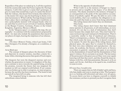Regardless of the place we ended up in, I call this expulsion from the countryside under the Franco regime the *Txarnego* diaspora. I call it this to give it a name that's grotesque, to give it a name that sounds bad, to give it a name that doesn't hide the violence, that doesn't bow its head, that embarrasses the master (for once): may his head hang in shame every time I pronounce it. What I call the *Txarnego* diaspora stems from a place that is ontological. Dispersion transforms us into a polycephalic monster with unequal heads: what we are and what we aren't in our arrivals to Catalonia, Madrid or the Basque Country, Germany, France or the United Kingdom, Argentina, Mexico or Brazil.

In the "diaspora space", to complete the map, the cartography—to continue with the nomenclature proposed by Brah—we must also include the populations that stayed in our places of origin, bearing the emptiness of our absence.

#### Interlude

[*The Inner Memory*] Today, when I got home, I felt like a foreigner; I'm already a foreigner, as a condition, as a debt.

## Avtar Brah says

The concept of diaspora places the discourse of *home* and *dispersion* in creative tension, inscribes a desire for a home while criticising discourses that speak of fixed origins.

The diasporic fact tests the diaspora's journey and overwhelms the generation in transit. Us daughters of the diaspora continue to move towards the aspired being, towards the promise, towards the future that was imagined the moment we left our original world behind. If our community was broken up in order to progress, we must progress, because the sacrifice has been enormous. The board is laid out and all we have left is to play.

The imagined being is someone who has left their subordinate status behind.

What is the opposite of subordination?

What I refer to as the memory of hunger is a legacy as present and as tangible as the legacy of an illustrious surname. The shame attached to the memory of hunger is as consequential as the pride of the (speculative) accumulation of symbolic capital. We pay the debt we carry with social mobility, that's our condition: the obligation to continue the path that leads us away from being subordinate.

The ruling classes don't know they are dominant.

They know.

The ruling classes don't know that their dominant status operates in all gestures, in all relationships, at every moment. It's not due to a lack of information: they don't know because they simply don't care. They don't know because not knowing is part and parcel of domination. There's a neutrality similar to that of manhood and whiteness. There's a transparency, a silence. That which isn't named is that which exists the most, seeing as it doesn't even need to be named. To enter the space of the ruling classes, their physical space, the space they've created for themselves, for their own class validation and reproduction—the museum, the academy, the literary cocktail party or literary encounters in general—entering that space is an exercise in the dissimulation of oneself and the dissimulation of that space's violence. Every surname is an insult. The last names of the persecutors who greet you as if they were your equals knowing well that they aren't, and they brand the deep imbalance with fire, with that pantomime. Because I, to be an equal, can't be me. And they, to be equal to me, would have to cease to exist.

## If I were free, I would write

There are squats that are full of daddy's girls and boys, who hate daddy and want to stand up to him. The bourgeoisie is so fucking self-referential and takes over all spaces. To access theirs you have to disguise yourself; to inhabit the resistance you have to pretend you don't recognise them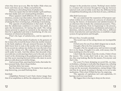when they dress up as you. Bite the bullet. Hide what you know and what you see. Make yourself docile.

Smiling is a disturbing form of subalternity.

There are squats that are full of daddy's girls and boys, who hate daddy and can't stand spelling mistakes.

These squatters smell different. It's not a smell: it's an intuition, a sound, ways that endure, that are felt in the way of entering a room, of sitting down or getting up from a table, of taking the floor or letting it go, of looking or not looking.

The opposite of subordination is that smell. To abandon the subalternate condition is to notice that smell, despite the dissimulation. It's hating that smell. The ruling classes pretend in squats as I pretend in the museum, but their lie is applauded and mine is humiliating. It's the continuation of a historical humiliation.

That's the logic of subalternity, and its opposite is illegal.

I discovered that stench of authority in the gestures of the woman who owned the house where my mother cleaned, in the bank employee who got annoyed because my father didn't know how to read, in the teacher who was displeased by my accent my cadence my clothes my ways the tone of my voice or the volume of it. My roughness that still drags the earth under its nails. And that silence that descends when you walk into a work meeting where you're the only one who wasn't at the christening at the graduation party at that dinner that secret meeting between lefties who meet in secret places to talk about secret leftist things.

And on top of that, sporting those looks, that make-believe peasant body, those cheap clothes.

And that shitty last name.

But the silence betrays you. No matter how much you stop showering, you smell fucking clean.

#### Interlude

[*Amphibian Fictions*] I can't find a better image than that of an amphibian to define the adaptation of workers to

changes in the production system. Nothing's more similar to a woman who traverses through her long day between salaried work and invisible work than the different forms of amphibian breathing and, in the best of cases, cold blood.

Alba Solà Garcia says

We can understand the expansion of European capitalism within its own borders as a process of colonisation, tracing the history of domination and subalternisation of an otherness that includes the communal peasantry. Thus, European capitalism, from its beginnings to the present, has carried out the domination, annihilation and erasure of identities, cultures and *other* forms of life; that is, different forms of production and reproduction, to establish a single system of expropriation and thought.

If I were free, I would conclude

The social ways of the ruling classes are incompatible with life.

I'd feel sorry for you if you didn't disgust me so much. I bought a flat to be free instead of lying.

I bought a flat far enough away and run down enough for it to be cheap. I bought it in cash, with money that I'd been stashing in a box for years.

I don't hide the money from the crooks, I hide it from the master. The crooks don't look at me: once they see me, they stop looking. But for the master, I'm anyone: and that's why.

For years I've been skimping on social life, on trips, on holidays, refusing to work jobs that disgust me, refusing to buy new clothes beyond what's strictly necessary for carrying out the necessary dissimulation, eating things I like and that do me good, by going to therapy so as not to take medication. This is how I filled the box: by emptying.

The opposite of capitalism isn't anti-capitalism, it's having a roof over your head.

My biggest fear is having to sleep on the street.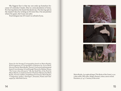My biggest fear is that my son ends up homeless because of a mistake I made. Due to a miscalculation of mine. For having bitten the hand that feeds me. For having spit in the master's face by writing as if I were free. I'm not prettier when I'm quiet, but I sure am safer.

You'd disgust me if I wasn't so afraid of you.



Notes for the Swamp [Cartographies based on María Ruido]. With fragments of *Cartographies of Diaspora* by Avtar Brah, ElectroClass by María Ruido, *Travesti. Una teoría lo suficientemente buena* [Cross-dressing: A Good Enough Theory] by Marlene Wayar, "Por la mar chica del puerto" [By the Small Sea of the Port] by Mayte Martín, *La memoria interior* [The Inner Memory] by María Ruido, *Ficciones anfibias* [Amphibious Fictions] by María Ruido, "Campesinos, punks y charnegos" [Peasants, Punks and Charnegos] by Alba Solà Garcia.

María Ruido, *Las reglas del juego* [The Rules of the Game], 2022 (video stills). HD video. Single-channel, colour, stereo sound. Duration: 40' 44''. Courtesy of the artist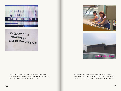

NO QUEREMOS<br>TRABAJO<br>QUEREMOS DINERO





María Ruido, *Tiempo real* [Real time], 2003 (video stills). HD video. Single-channel, colour, stereo sound. Duration: 43'. Courtesy of the artist and Galería Rosa Santos

María Ruido, *Ficciones anfibias* [Amphibious Fictions], 2005 (video stills). HD video. Single-channel, colour, stereo sound. Duration: 33'. Courtesy of the artist and Galería Rosa Santos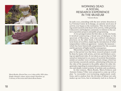

María Ruido, *ElectroClass*, 2011 (video stills). HD video. Single-channel, colour, stereo sound. Duration: 53'. Courtesy of the artist and Galería Rosa Santos

# WORKING DEAD: A SOCIAL RESEARCH EXPERIENCE IN THE MUSEUM

Valentín Roma

In early 2017, coinciding with the new artistic direction at La Virreina Centre de la Imatge, an entirely novel area of activity was begun at the institution. This involved situat ing social research at the heart of its activity, while granting it discursive and budgetary autonomy in relation to the cen tre's exposition projects and public programming.

A two-pronged notion fed this idea: on the one hand, it involved constructing a broad area of dialogue in the spectrum of Barcelona, with non-codified introductory practices; on the other hand, it focused on testing longterm forms of overflow, implying the introduction of other temporalities within an apparatus—namely the museum which has been historically programmed for the occasion and for gestures of higher-profile consequence.

Meanwhile, another of the fundamental parameters in play in that period was that these research projects would be done by teams with artists, activists and thinkers carry ing out significant roles. It was taken as a given that we find ourselves immersed in an excess of sectorial theorisation, amidst yet another wave of institutional critique which has now become excessively autistic, substituting ref lection on the roles of the museum in the public sphere for other dis quietudes regarding its nomenclatures, administrative wor ries and deeply-rooted systems of acclaim and occultation.

In this context, María Ruido, Marta Echaves and Antonio Gómez Villar were proposed to come up with a plan "to reconsider ever-worsening employment condi tions, and to analyse how the division of labour not only makes up our lives, but is intimately tied in to forms of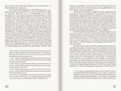governance that radically inf luence our existences," as they themselves expressed.

The result is *Working Dead: Post-Work Scenarios*, a research project that lasted for two years and had four public episodes. The first was on 28 September 2017, when the project was presented, together with the film *La mano invisible* [The Invisible Hand] (2016) by David Macián, based on the novel of the same name by Isaac Rosa, with the presence of the filmmaker and the writer.1 The second episode featured two seminars, on 21 and 22 March 2018, dedicated to the subject of *Trabajo más allá del empleo: producción y reproducción en la era del postrabajo*<sup>2</sup> [Work Beyond Employment: Production and Reproduction in the Era of Post-Work], with Matxalen Legarreta and Marta Malo de Molina,3 along with Las Kellys, Tonina Matamalas Ensenyat, Carme Gomila Seguí and the Agrupación Feminista de Trabajadoras del Sexo (AFEMTRAS).4 Finally, on 24 October 2019, there was the presentation of the book *Working Dead: Post-Work Scenarios*, a volume which prolonged the collection published through La Virreina for its research or social imagination production platforms.5 Rather than

1. See <https://ajuntament.barcelona.cat/lavirreina/en/research/working-dead-post-work-scenarios/151> and <https:// ajuntament.barcelona.cat/lavirreina/en/resources/working-dead-post-work-scenarios/173>

2. See <https://ajuntament.barcelona.cat/lavirreina/en/activities/work-without-employment-production-and-reproduction-post-work-era/266>

3. See <https://ajuntament.barcelona.cat/lavirreina/en/resources/work-without-employment-production-and-reproduction-post-work-era-1/268>

4. See <https://ajuntament.barcelona.cat/lavirreina/en/resources/work-without-employment-production-and-reproduction-post-work-era-2/277>

5. See <https://ajuntament.barcelona.cat/lavirreina/en/publications/arxivar-archive/172> and <https://ajuntament.barcelona.cat/lavirreina/en/publications/espectres-ghosts/204>

being an anthology of the materials developed until that point in time, it was a shared essay, with unpublished texts, interviews and conversations.6

What sort of summary might be made regarding this experience from an institutional perspective? First of all, it should be emphasised that it continues to be necessary to rethink the perimeters of the debate on working conditions, beyond the axes imposed by orthodox political thought, set up in terms of the dilemmas of right and left, neoliberalism or syndicalism. It is also worth referring to regulatory systems put into place by sectors like that of art, which in certain cases adopt the appearance of productive demands instead of being truly dissident ideologies in the face of labour.

In *Working Dead* and, I believe, in María Ruido's own artistic practice, as well as in the philosophical thought of Antonio Gómez Villar and the curatorial and investigative task of Marta Echaves, ref lection on class does not turn into an extra ingredient or a political dressing, constituting rather a critical feature articulating each of their respective paths.

For this reason, because the working class has broadened the foundation that previously articulated it, now being obliged (and especially certain generations) to face the conflict of the aspirational, that is, of declassing, and with it a process whereby other subjectivities are constituted, along with other interrogatives and forms of connection with memory and proletarian knowledge; and because nowadays we must somatise isolation, unite our vulnerabilities and find systems of collectivisation for our strength of work, the longstanding formula of art=life has clearly made manifest its roots in bourgeois repentance, while the new

6. See <https://ajuntament.barcelona.cat/lavirreina/en/activities/presentation-book-working-dead/405>; <https://ajuntament. barcelona.cat/lavirreina/en/resources/presentation-book-working-dead-escenarios-del-postrabajo/411> and <https://ajuntament. barcelona.cat/lavirreina/en/publicacions/working-dead/409>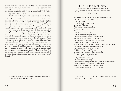sentimental middle classes—as the new governors, consumers and museum narrators—appeal to a certain emotionality with its own political antagonisms, delighting in the arrival of the revolution while at the same time being ideologically ashamed of it.

Proletarian thought and history still constitute a anomaly in museography. Institutional reinvention supplanted a genuine plan for transformation. Where urgent projects were required, instead there appeared sophisticated grammatical analyses which were only capable of detecting system errors. An intense task of recodification does not always imply a corresponding confrontational verve.

The question, therefore, is not whether the subaltern has a place in the Museum institution; it is whether the Museum apparatus can audit itself, converting itself into a parliament of the sensitive, or whether it is set up to engage its own transparency. The question, as the *Working Dead* project exemplified, is to what point "the cultural factory" replicates, in the model of contemporary capitalism, each and every one of the alienations, identification processes, discrepancy methods and hierarchies of other factories where those bringing news of ideological antiquity were employed, paraphrasing that memorable film by Alexander Kluge<sup>7</sup> on the necessarily beautiful and involuntarily unfruitful attempt by Sergei Eisenstein to express, in a film, Karl Marx's *Das Kapital*.

7. Kluge, Alexander. *Nachrichten aus der ideologischen Antike - Marx/Eisenstein/Das Kapital*, 2008.

# THE INNER MEMORY'

For a (thorough) look at the representation of (self )foreignness, the images of work and of absence

#### María Ruido

Mephistopheles: Cease with your brooding grief to play That, like a vulture, eats your life away. I'm not one of the Great; Still, if through life you'll go with me, In that case I'll agree With pleasure to accommodate You, on the spot belong to you. I'll be your comrade true And if to your liking I behave, I'll be your servant, be your slave! Faust: And what in turn am I to do for you? Am I to write with graver, chisel or pen? The spoken word dies forthwith in the quill; Leather and wax remain our masters still. Mephistopheles: With one wee drop of blood you sign your name. Oh, trust me who for many a thousand year Have chewed this crust of sour taste. I'd think you'd let yourself be taught. Associate you with a poet; then, in thought, You leave the gentleman full sweep, Upon your honoured head to heap Each good and noble quality. Life is short and art is long. Faust: Life's wildering whirl be mine, its painfulest enjoyment, Enamoured hate, and quickening annoyment. My bosom, of all thirst for knowledge cured, Shall close itself henceforth against no woe.

1. Original script of María Ruido's film *La memoria interior*  [The Inner Memory], 2002.

—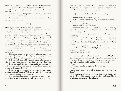Memory and oblivion are mutually bound, both are necessary for the complete occupation of time.

Memory's duty is the duty of the descendants, and has two sides:

remembrance and vigilance, to find in the everyday the shape of the unnameable.

But the official memory needs monuments: it aesthetisises death and horror.

#### (Voice)

Memory is imperfect, it is selective, forgetful.

Only our bodies, registered passers-by, keep the sour taste of the price of the justest dreams.

The importance of the numbers of the Spanish emigration to some European countries such as Germany, France or Switzerland between 1959 and 1973 is well known. The conjunction of a surplus work force in Spain (and in other countries in the South) and a strong demand for unqualified workers in these countries, immersed in a period of economic growth, together with the abandonment of a restrictive migratory politics and of the so-called autarchy, resulted in an abundant flow of work force destined to Europe.

I have now made this trip to become the subjects of history, against its history of the subjects, to arrest our look at the unpunished and intransitive look of the statues.

Between 1963 and 1966 my mother packed chocolate in a factory near Hamburg, however, she never knew the Baltic.

I was born in between continental trips, and learned fast: amnesia of the past, amnesia of the future. Amnesia forced on those past decades.

Between 1970 and 1987 my mother and my father worked for the Deutsche Carbone in Kalbach (Frankfurt) manufacturing pressed coal pieces.

The politics of memory, the political memory: I have made this trip, an experience of memory, to meet the memory of my experience, the anaesthetised memories of those who have forgotten so that I can remember. For an inner look, prior to its words cast on stone.

(Interview with Dolores Ruido and Manuel Lopez)

—And that, what year was that, mom?

—Ah, I don't remember any longer what year that was. It's been a long time.

—January the eight of 63.

—And you were there until when?

—I was there three years. I came back home because my father died, and spent here three months. And afterwards Fina came back with me.

—At the end, how long were you there for? You (mom) much longer.

—Between the other factory and this one, I had twenty-one years and a half, but they took off the three months that I spent here, which I didn't pay for and which I should have paid for.

—And you, dad, eighteen, more or less?

—I was there from May 70 until 86, November or December, when we came back.

—And then you left again.

—So then it was too much family, and because of it Miss Pilar (the village teacher) told you to leave, isn't it? But it must have been hard there, to endure all year long until vacation, missing the land and the children. Maria, she was so little.

—Yes.

—To be there, so far away from the children.

—Yes.

—And didn't you ever think of taking us with you over there?

—No. I thought of taking you there. You alone. But it was too much trouble, because one had to, not being able to speak, that makes everything harder.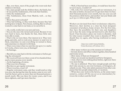—But, over there, most of the people who went took their children with them.

—Yes, many people took the children there, the family, but.

—It was just the Andalusians, who took their families.

—Only the Andalusians?

—The Andalusians, those from Madrid, well… as they could.

—Were they grown already?

—They had nothing, so they took them, because they had nothing here in Spain. Not a house, nothing. But we always wanted to come back to our land, so we saved for it.

—Ah, world, world, how you turn and turn.

—You are the ones who turned and turned. Because it was very hard to leave, but thanks for that, these little ones were able to study.

—That's why we were there. Our interest in it. They were going upwards, and we took away (money) to send over to them, sometimes we sent everything we earned to them, and sometimes we shared it with them.

—There were times when we sent this one up to 700 marks to Coruña, where were you, in Santiago?

—In Santiago.

—But did you come back with the retirement or before getting the retirement?

—We received from over there a rent of two hundred thousand or more pesetas every month.

—At the beginning, of course.

—That was a lot of money.

—But then we got regular retirement.

—Then it was less, wasn't it?

—Regular retirement came, and they would send us what was ours, but during that time the money came in very well. And the factory gives us more than ten thousand pesetas a month (each). She was there for twenty years, and I was there eighteen, and I get more than her.

—Well, if that had been nowadays, it would have been better not to leave, wouldn't it?

—Oh, well, if we weren't getting paid our retirement, it is the same as before, because now we get more than two hundred thousand pesetas every month, but one year you sell the potatoes a little better, and another- last year Sindo sold 34 or 35.000 kilos at 3pts. What is that!

—

Workers are deviated from their revolutionary objective. Moreover, their decline as a class has been designed: consumers of products, home owners. For the first time, they have the possibility for their sons and daughters not to face the same tiring and destructive jobs that they faced. Class becomes a place one wants to abandon. And for what reason wouldn't they want to abandon it? Why should they try again, after having swallowed so many defeats?

> (Interview with Cristina Scheller, Union Secretary of Carbone A.G.)

—How many workers are at the moment in Carbone?

—In total, factory and office workers together, three hundred and twenty-seven.

—How many of them are foreigners?

—There are around one hundred and forty foreigners.

—And, what we were talking about before, right now there is no more hiring.

—No one is admitted. They have enough people and they don't take anyone in, not even Germans, or foreigners, absolutely no one. They only admit assistants from other companies that hire people temporarily, at vacations.

—What does your work in the factory, as the union representative, consist of? Do you act as an intermediary between the workers and the firm?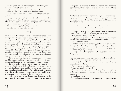—All the problems we have are put on the table, and she resolves them as best she can.

—But is there only one union in the factory?

—She is the union representative, the secretary.

—Of the company's union, but, aren't there any other unions?

—Here, in the factory, there aren't. But in Frankfurt, at headquarters, when there is a reunion, a person from the Metal Union comes to listen to our problems, and if anything can be done, to solve them.

—This firm belongs to the Metal Union?

—Yes. It is part of the Metal Industry.

### (Voice)

Even though I dreaded parents' reunions at school, even though later I would resent your internalisation of the firm's paternalism and of the life at the barracks, I have always known who I was, where I came from. It is necessary to have an attentive self-control, to avoid being the object of external control, of pity or charity: get on, don't fall, go by yourself to the doctor, don't get any debts, don't ask for the impossible. And all that fear, and that rage that you have gone through. All that fear still lives inside me. Today, from my work, I think of how to make your work visible: the production of history, the history of production.

How to imagine the factory today? How to represent the black dust, and the quiet, because fatigued, dressing rooms, and the scarcity of words during twenty years?

How to make you understand that we work already when we don't work, that we honour your memory when we withstand precariously? How to make you comprehend that work hasn't made us free? And all the contradictions, and all the difficulties of being the smallest, of being a woman and of not being up to the expectations.

All your efforts were directed at changing our future, and the changed future rose between us like an unsurpassable distance: mother, I will carry with pride the legacy of your little treasures to tell you that which I have never told you.

—

It is banal to say that memory is a lier, it is more interesting to see in this lie a form of natural protection that can be governed and modelled. Tales of the other, of the stranger (foreigner) in me.

> (Interview with Ramona Costa, Eugenio Costa, Vito Raimondi and Benito Costa)

—Foreigners. You get here, foreigner. The Germans have come, and that hurts, because they treat you like…

—Well, they treat you normally.

—Yes, but it hurts, because they say that word. They don't say family, neighbours. Here come the Germans.

—There is the German.

—And that hurts, because inside, you feel Spanish, normal, Spanish. And then they come and say that. Foreigner there, foreigner here. You don't have a choice. Like a gypsy. You don't have anything positive.

—Foreigner here, foreigner there. Because there isn't anything else.

—At the beginning there were more of us Italians, Spaniards, Greek, and also a few Portuguese.

—And Yugoslavs… they don't make any trouble. We were fine in the barracks…

—Those were wonderful times.

—Yes, it was good, very good.

—Because you were better friends with the workers here in the factory, because you lived with them, it was all more together.

—More family-like.

—You had problems and you talked, and you straightened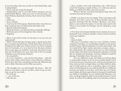it out, but today, that was cut off, it is less family-like, each is independent.

—Now, each one works for herself.

—Independent, and it is not like before anymore, do you understand? Before, when you were in the barracks, you knew Italians, Spaniards, Greeks, there weren't any Turks. —One.

—Only one.

—Yes, a woman.

—And very few Portuguese. Back then there were three or four countries, but we understood each other well.

—But all of them European.

—What do I know, you shared what you had like siblings.

—Well, because we lived together, like a family.

—Together.

—Here, if you don't work, no one gives it to you, do you understand?

—Well, I think that the German state, I speak better Italian, to express myself better, I think that it does a lot for the foreigner, but right now, if there aren't two of you working here in Germany, it is very hard to live. Because, before, thirty years ago, you could live with only one person working, one lived better, but now, there has to be two people working, to pay the house, life here.

—It is expensive.

—It is very expensive… one can live here alone… only the person who comes, I don't know, from Albania, or Russia, where they don't have anything, just like the Albanians go now to Italy. One does not live like one used to.

—My thought was, we had bought the house… But the house is over there. And we are here, when we go on vacation, we go for one week.

—To clean up.

—then, another week and somewhere else. (The house) is just for sleeping a couple of days, it is a bit sad, and you think, you think a lot. But, what can you do?

When I tell my son about leaving for Italy, him, for vacation, but not for staying.

—Public, yes, but we are very happy. They treat them well. Besides, over here, every two or three months, there is a parents' meeting with the teachers. Because, over here, there is one teacher for math, it is not the same one for all. There is one teacher for biology, one for chemistry, each teacher…

—Over here in Germany families move around, do you understand? And, in Spain, families, when certain occasions arrive, get together.

—Yes.

—Same in Italy.

—Because I remember when we were children, before coming to Germany, we would all get together at my grandmother's house. My grandmother's was the main house, and we would all be there: uncles and aunts, cousins, nieces… the whole family. We could even be 25 or 30. We would set up the tables and chairs in the farmyard, and there it would just be singing and drinking. And the children would be playing. I remember that, I was just a kid.

It is very different. Look, one thing is to tell you about it, and another thing is to live it, do you understand? And it is not just one year, it is many years. And you accept this over here, and you have to forget about over there little by little, and I would want my son to remember, about over there, what was left behind, do you understand? But it is difficult, because my family is over here, and I don't go over Christmas to Spain, for him to get to know it, because I would break my family's friendship, do you understand? Because over here, we all get together, either at my mother's house or at my house. It is three of us siblings and we are all there, as late as

<sup>—…</sup>no, to the sea.

<sup>—</sup>Oh, the sea.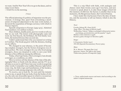we want. And for New Year's Eve we go to the dance, and we enjoy it over there.

—Until five in the morning.

#### (Voice)

The official planning of a politics of migration was the provisional. A strategy that, apart from articulating a mechanism of temporal adjustment to the state work market, it favoured the acquisition of foreign currency with which to finance imports.

Spanish emigration to Europe (1959-1973). Admitted final numbers: two million workers.

Dear children, double point, just two words to tell you that we are well. The letters with photographs came and went: my first bicycle, the birthdays, the first family vacations, the knitted dresses that you sent me.

I didn't understand then why you insisted on writing in Castilian. The break-up grew with the distance, feeding on our efforts.

We changed in your absence, to the point of becoming complete strangers, but the fiction of progress was almost perfect. We were strangers for you who lived among strangers, those you despised in order to save your little distance of less different among the different.

Today, when I get home, I feel a stranger; I am already a stranger, as a condition, as a debt.

How to retrieve all that absence of the time of the photographs? How to finish with the silence and the TV on at all times so as not to ask? I have lost your words in acquiring other words: I remember your sudden illnesses right before every trip, the little traps and humiliations of the borders, and I start to walk among emigrants who still are.

To receive, not to look for. To wait until the instants come to me, to speak from my body, from the bodies of others, the only one of possible spaces in which to reconstruct the history learned at university, in the monuments.

This is a trip filled with faith, with analogies and chance: more than twenty years ago I was here, and now I return to speak about it, to take those images which fed this memory of oblivion: the factory is smaller than in my memories, the Bergstrasse busier, the Central Station.

I have made this trip because I have the duty of memory, and the necessity to tell our history which is also the History.

#### *Texts*<sup>2</sup>

Goethe, Johann W.: *Faust* (1808) Auge, Marc: *The shapes of oblivion* (1998) Walkerdine, Valerie: "Subject exchanged without prior notice: psychology, postmodernity and the popular" (1996) Marker, Chris: *Inmemory* (1998) Kristeva, Julia: *Strangers to Ourselves* (1988)

#### *Images*

S. Eisenstein: *October* (1927) *NO-DO* (Spanish Documentary News) (1964)

#### *Music*

W.A. Mozart: *The magic flute* (1791) Ignorant, Anton: *The right to copy* (1999) Valderrama, Juanito: *El emigrante* (1959)

2. Texts, audiovisuals sources and music cited according to the author's original manuscript.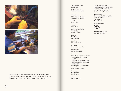



María Ruido, *La memoria interior* [The Inner Memory], 2002 (video stills). Hi8 video. Single-channel, colour, stereo sound. Duration: 33'. Courtesy of the artist and Galería Rosa Santos

*The Rules of the Game* María Ruido

From 17th March to 4th September 2022

*Organization* Es Baluard Museu d'Art Contemporani de Palma

*Director*  Imma Prieto

*Curator*  Imma Prieto

*Exhibition Coordination* Catalina Joy Beatriz Escudero

*Registrar* Soad Houman Rosa Espinosa

*Installation* Es Baluard Museu

*Insurances* Correduría March-Rs

*Graphic design* Hermanos Berenguer

#### *Texts*

Imma Prieto. Director, Es Baluard Museu d'Art Contemporani de Palma Valentín Roma. Art historian and director of La Virreina Centre de la Imatge María Ruido. Artist, filmmaker, researcher and teacher Brigitte Vasallo. Writer

*Translations* la correccional Rosa Nogués

*Print* Esment Impremta

© of the present edition, Fundació Es Baluard Museu d'Art Contemporani de Palma, 2022 © of the texts, the authors © of the works, María Ruido, 2022

*Acknowledgments* Casa Museu Can Marquès, Palma Galería Rosa Santos Nieves Barber Brigitte Vasallo

*In collaboration with*



ISBN 978-84-1883-37-6 DL PM 00128-2022